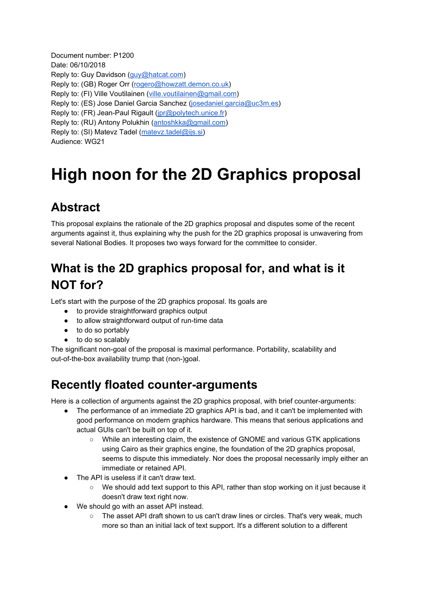Document number: P1200 Date: 06/10/2018 Reply to: Guy Davidson [\(guy@hatcat.com](mailto:guy@hatcat.com)) Reply to: (GB) Roger Orr ([rogero@howzatt.demon.co.uk\)](mailto:rogero@howzatt.demon.co.uk) Reply to: (FI) Ville Voutilainen ([ville.voutilainen@gmail.com](mailto:ville.voutilainen@gmail.com)) Reply to: (ES) Jose Daniel Garcia Sanchez [\(josedaniel.garcia@uc3m.es\)](mailto:josedaniel.garcia@uc3m.es) Reply to: (FR) Jean-Paul Rigault [\(jpr@polytech.unice.fr](mailto:jpr@polytech.unice.fr)) Reply to: (RU) Antony Polukhin ([antoshkka@gmail.com\)](mailto:antoshkka@gmail.com) Reply to: (SI) Matevz Tadel ([matevz.tadel@ijs.si\)](mailto:matevz.tadel@ijs.si) Audience: WG21

# **High noon for the 2D Graphics proposal**

# **Abstract**

This proposal explains the rationale of the 2D graphics proposal and disputes some of the recent arguments against it, thus explaining why the push for the 2D graphics proposal is unwavering from several National Bodies. It proposes two ways forward for the committee to consider.

# **What is the 2D graphics proposal for, and what is it NOT for?**

Let's start with the purpose of the 2D graphics proposal. Its goals are

- to provide straightforward graphics output
- to allow straightforward output of run-time data
- to do so portably
- to do so scalably

The significant non-goal of the proposal is maximal performance. Portability, scalability and out-of-the-box availability trump that (non-)goal.

### **Recently floated counter-arguments**

Here is a collection of arguments against the 2D graphics proposal, with brief counter-arguments:

- The performance of an immediate 2D graphics API is bad, and it can't be implemented with good performance on modern graphics hardware. This means that serious applications and actual GUIs can't be built on top of it.
	- While an interesting claim, the existence of GNOME and various GTK applications using Cairo as their graphics engine, the foundation of the 2D graphics proposal, seems to dispute this immediately. Nor does the proposal necessarily imply either an immediate or retained API.
- The API is useless if it can't draw text.
	- We should add text support to this API, rather than stop working on it just because it doesn't draw text right now.
- We should go with an asset API instead.
	- The asset API draft shown to us can't draw lines or circles. That's very weak, much more so than an initial lack of text support. It's a different solution to a different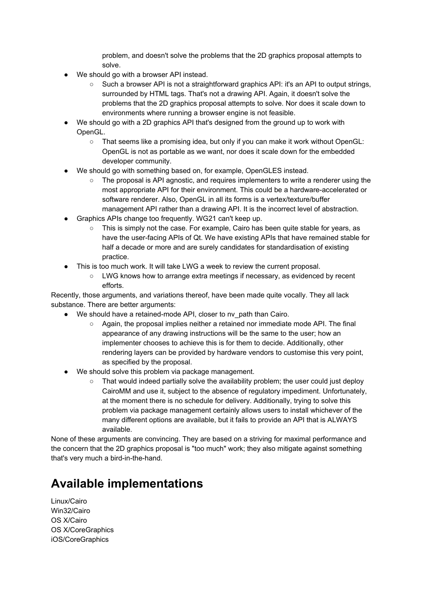problem, and doesn't solve the problems that the 2D graphics proposal attempts to solve.

- We should go with a browser API instead.
	- Such a browser API is not a straightforward graphics API: it's an API to output strings, surrounded by HTML tags. That's not a drawing API. Again, it doesn't solve the problems that the 2D graphics proposal attempts to solve. Nor does it scale down to environments where running a browser engine is not feasible.
- We should go with a 2D graphics API that's designed from the ground up to work with OpenGL.
	- That seems like a promising idea, but only if you can make it work without OpenGL: OpenGL is not as portable as we want, nor does it scale down for the embedded developer community.
- We should go with something based on, for example, OpenGLES instead.
	- The proposal is API agnostic, and requires implementers to write a renderer using the most appropriate API for their environment. This could be a hardware-accelerated or software renderer. Also, OpenGL in all its forms is a vertex/texture/buffer management API rather than a drawing API. It is the incorrect level of abstraction.
- Graphics APIs change too frequently. WG21 can't keep up.
	- This is simply not the case. For example, Cairo has been quite stable for years, as have the user-facing APIs of Qt. We have existing APIs that have remained stable for half a decade or more and are surely candidates for standardisation of existing practice.
- This is too much work. It will take LWG a week to review the current proposal.
	- LWG knows how to arrange extra meetings if necessary, as evidenced by recent efforts.

Recently, those arguments, and variations thereof, have been made quite vocally. They all lack substance. There are better arguments:

- We should have a retained-mode API, closer to nv\_path than Cairo.
	- Again, the proposal implies neither a retained nor immediate mode API. The final appearance of any drawing instructions will be the same to the user; how an implementer chooses to achieve this is for them to decide. Additionally, other rendering layers can be provided by hardware vendors to customise this very point, as specified by the proposal.
- We should solve this problem via package management.
	- That would indeed partially solve the availability problem; the user could just deploy CairoMM and use it, subject to the absence of regulatory impediment. Unfortunately, at the moment there is no schedule for delivery. Additionally, trying to solve this problem via package management certainly allows users to install whichever of the many different options are available, but it fails to provide an API that is ALWAYS available.

None of these arguments are convincing. They are based on a striving for maximal performance and the concern that the 2D graphics proposal is "too much" work; they also mitigate against something that's very much a bird-in-the-hand.

### **Available implementations**

Linux/Cairo Win32/Cairo OS X/Cairo OS X/CoreGraphics iOS/CoreGraphics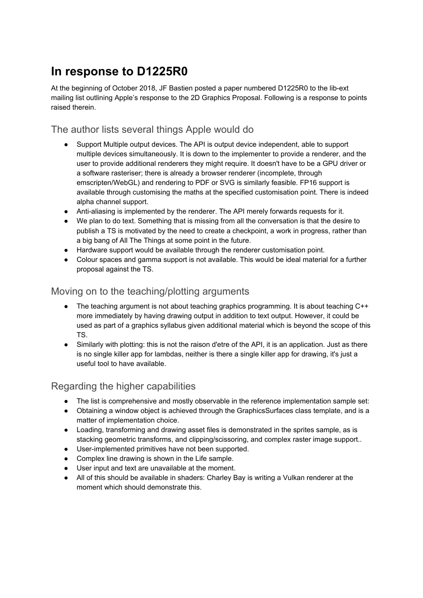### **In response to D1225R0**

At the beginning of October 2018, JF Bastien posted a paper numbered D1225R0 to the lib-ext mailing list outlining Apple's response to the 2D Graphics Proposal. Following is a response to points raised therein.

#### The author lists several things Apple would do

- Support Multiple output devices. The API is output device independent, able to support multiple devices simultaneously. It is down to the implementer to provide a renderer, and the user to provide additional renderers they might require. It doesn't have to be a GPU driver or a software rasteriser; there is already a browser renderer (incomplete, through emscripten/WebGL) and rendering to PDF or SVG is similarly feasible. FP16 support is available through customising the maths at the specified customisation point. There is indeed alpha channel support.
- Anti-aliasing is implemented by the renderer. The API merely forwards requests for it.
- We plan to do text. Something that is missing from all the conversation is that the desire to publish a TS is motivated by the need to create a checkpoint, a work in progress, rather than a big bang of All The Things at some point in the future.
- Hardware support would be available through the renderer customisation point.
- Colour spaces and gamma support is not available. This would be ideal material for a further proposal against the TS.

#### Moving on to the teaching/plotting arguments

- The teaching argument is not about teaching graphics programming. It is about teaching C++ more immediately by having drawing output in addition to text output. However, it could be used as part of a graphics syllabus given additional material which is beyond the scope of this TS.
- Similarly with plotting: this is not the raison d'etre of the API, it is an application. Just as there is no single killer app for lambdas, neither is there a single killer app for drawing, it's just a useful tool to have available.

#### Regarding the higher capabilities

- The list is comprehensive and mostly observable in the reference implementation sample set:
- Obtaining a window object is achieved through the GraphicsSurfaces class template, and is a matter of implementation choice.
- Loading, transforming and drawing asset files is demonstrated in the sprites sample, as is stacking geometric transforms, and clipping/scissoring, and complex raster image support..
- User-implemented primitives have not been supported.
- Complex line drawing is shown in the Life sample.
- User input and text are unavailable at the moment.
- All of this should be available in shaders: Charley Bay is writing a Vulkan renderer at the moment which should demonstrate this.